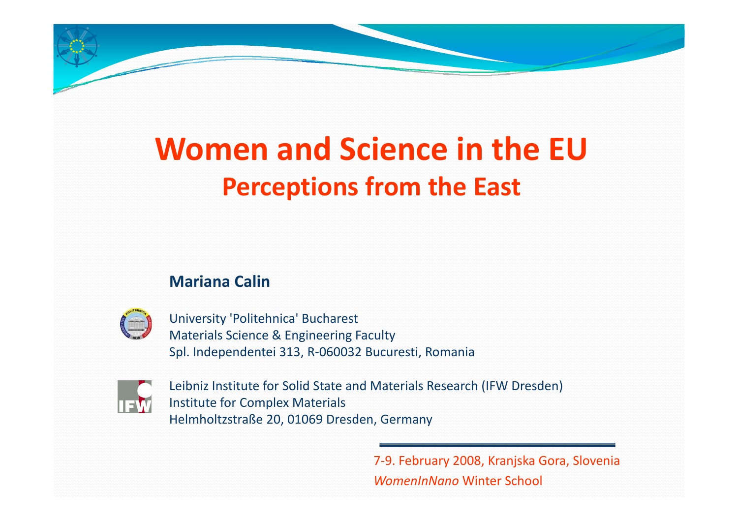# **Women and S i c ence in the EUPerceptions from the East**

#### **Mariana Calin**



University 'Politehnica' Bucharest Materials Science & Engineering Faculty Spl. Independentei 313, R‐060032 Bucuresti, Romania



Leibniz Institute for Solid State and Materials Research (IFW Dresden) Institute for Complex Materials Helmholtzstraße 20, 01069 Dresden, Germany

> 7‐9. February 2008, Kranjska Gora, Slovenia *WomenInNano* Winter School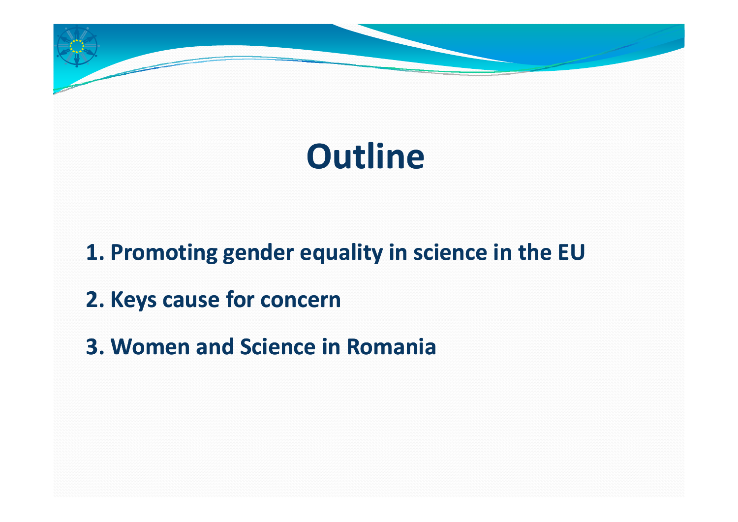# **Outline**

**1. Promoting gender equality in science in the EU** 

- **2. Keys cause for concern**
- **3. Women and Science in Romania**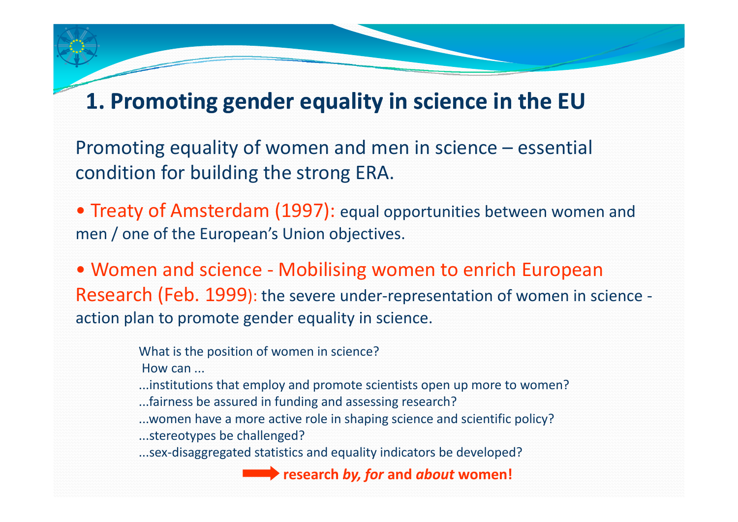# **1. Promoting gender equality in science in the EU**

Promoting equality of women and men in science – essential condition for building the strong ERA.

• Treaty of Amsterdam (1997): equal opportunities between women and men / one of the European's Union objectives.

• Women and science ‐ Mobilising women to enrich European Research (Feb. 1999): the severe under‐representation of women in science ‐ action plan to promote gender equality in science.

What is the position of women in science?

How can ...

...institutions that employ and promote scientists open up more to women?

- ...fairness be assured in funding and assessing research?
- ...women have <sup>a</sup> more active role in shaping science and scientific policy?

...stereotypes be challenged?

...sex‐disaggregated statistics and equality indicators be developed?

**research** *by, for* **and** *about* **women!**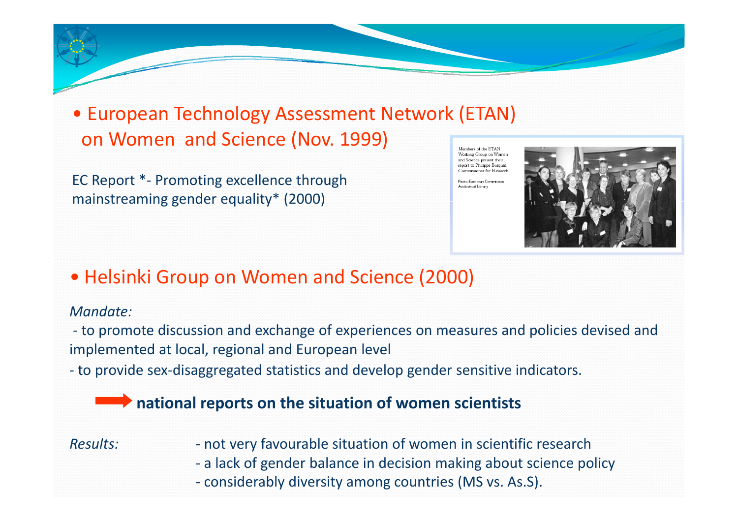• European Technology Assessment Network (ETAN) on Women and Science (Nov. 1999) Members of the FTAN

EC Report \*‐ Promoting excellence through mainstreaming gender equality  $*$  (2000)

Working Group on Womer and Science present their report to Philippe Busquin Commissioner for Research

Photo: European Commission Audiovisual Library



#### • Helsinki Group on Women and Science (2000)

#### *Mandate:*

‐ to promote discussion and exchange of experiences on measures and policies devised and implemented at local, regional and European level

‐ to provide sex‐disaggregated statistics and develop gender sensitive indicators.

#### **national reports on the situation of women scientists**

#### *Results:*<u>LANDARDA ARADARAN ARADA</u>

 not very favourable situation of women in scientific research ‐ a lack of gender balance in decision making about science policy ‐ considerably diversity among countries (MS vs. As.S).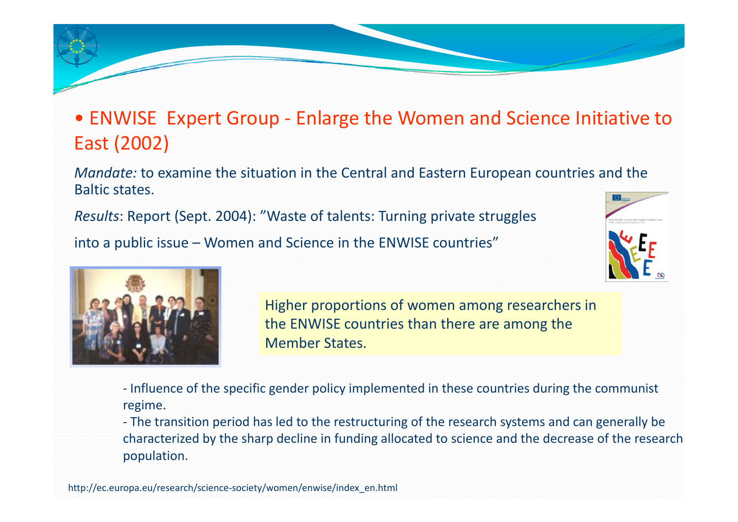## • ENWISE Expert Group ‐ Enlarge the Women and Science Initiative to East (2002)

*Mandate:* to examine the situation in the Central and Eastern European countries and the Baltic states.

*Results*: Report (Sept. 2004): "Waste of talents: Turning private struggles into <sup>a</sup> public issue – Women and Science in the ENWISE countries"





Higher proportions of women among researchers in the ENWISE countries than there are among the Member States.

‐ Influence of the specific gender policy implemented in these countries during the communist regime.

‐ The transition period has led to the restructuring of the research systems and can generally be characterized by the sharp decline in funding allocated to science and the decrease of the research population.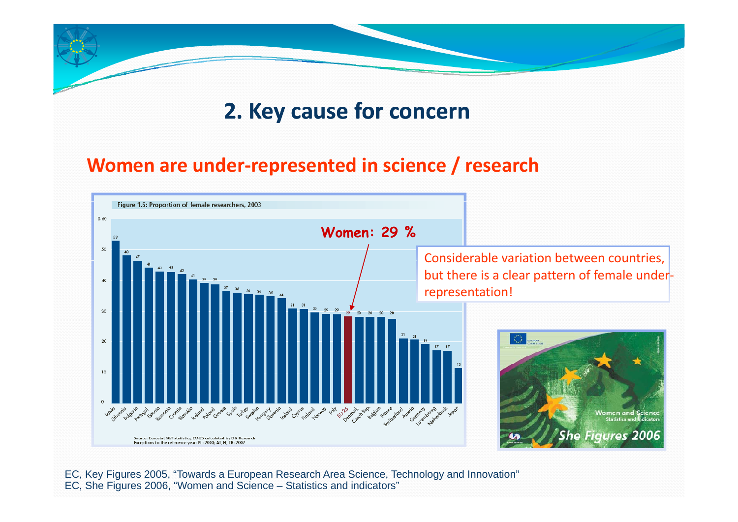# **2. Key cause for concern**

#### **Women are under‐represented in science / research**



EC, Key Figures 2005, "Towards a European Research Area Science, Technology and Innovation" EC, She Figures 2006, "Women and Science – Statistics and indicators"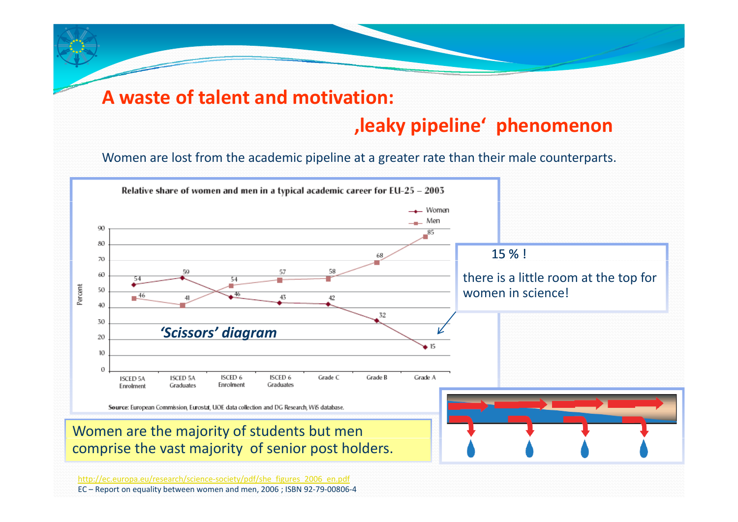#### **A waste of talent and motivation:**

### **'leaky pipeline' phenomenon**

Women are lost from the academic pipeline at <sup>a</sup> greater rate than their male counterparts.



EC – Report on equality between women and men, 2006 ; ISBN 92‐79‐00806‐4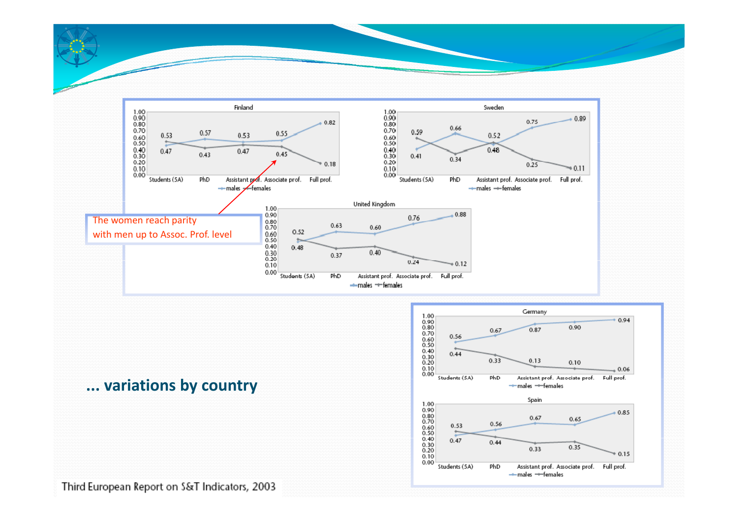





Third European Report on S&T Indicators, 2003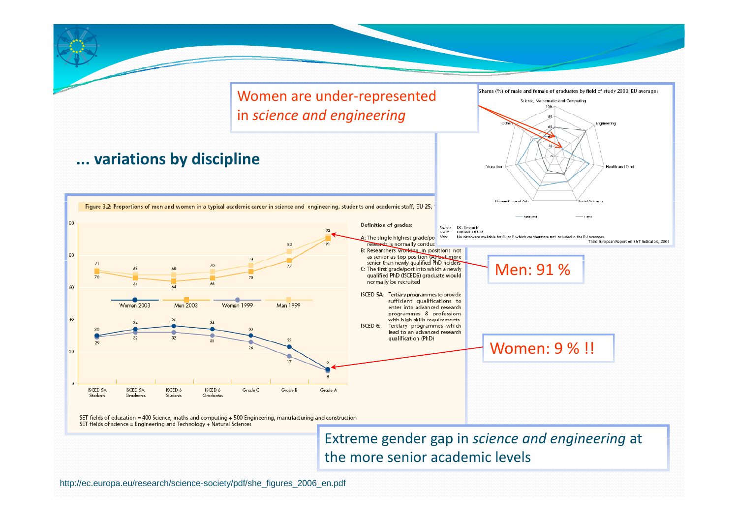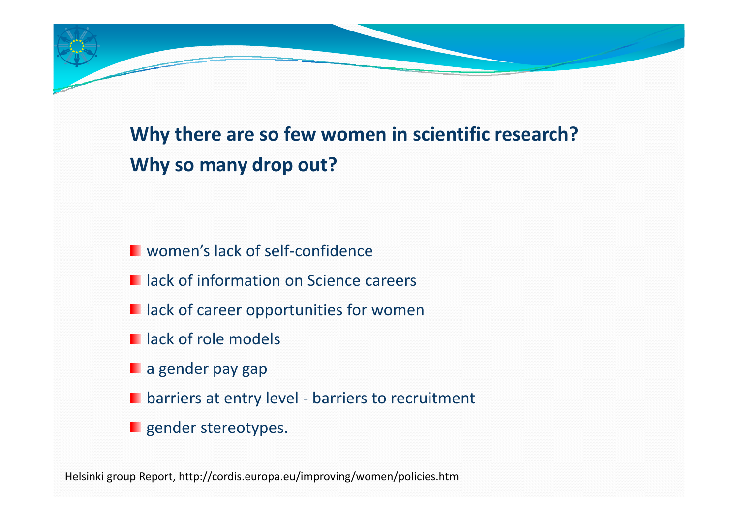# **Why there are so few women in scientific research? Why so many drop out?**

- women's lack of self‐confidence
- lack of information on Science careers
- lack of career opportunities for women
- lack of role models
- a gender pay gap
- barriers at entry level ‐ barriers to recruitment
- gender stereotypes.

Helsinki group Report, http://cordis.europa.eu/improving/women/policies.htm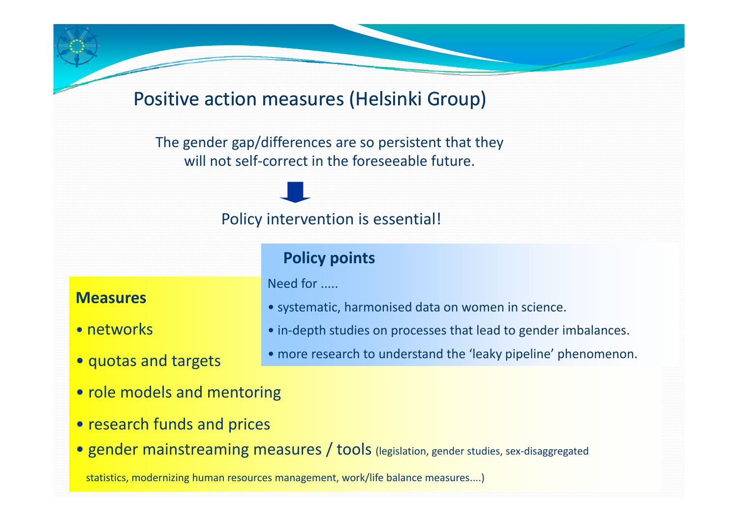#### Positive action measures (Helsinki Group)

The gender gap/differences are so persistent that they will not self‐correct in the foreseeable future.

#### Policy intervention is essential!

#### **Policy points**

Need for .....

#### **Measures**

- networks
- quotas and targets
- systematic, harmonised data on women in science.
- in‐depth studies on processes that lead to gender imbalances.
- more research to understand the 'leaky pipeline' phenomenon.
- role models and mentoring
- research funds and prices
- gender mainstreaming measures / tools (legislation, gender studies, sex-disaggregated

statistics, modernizing human resources management, work/life balance measures....)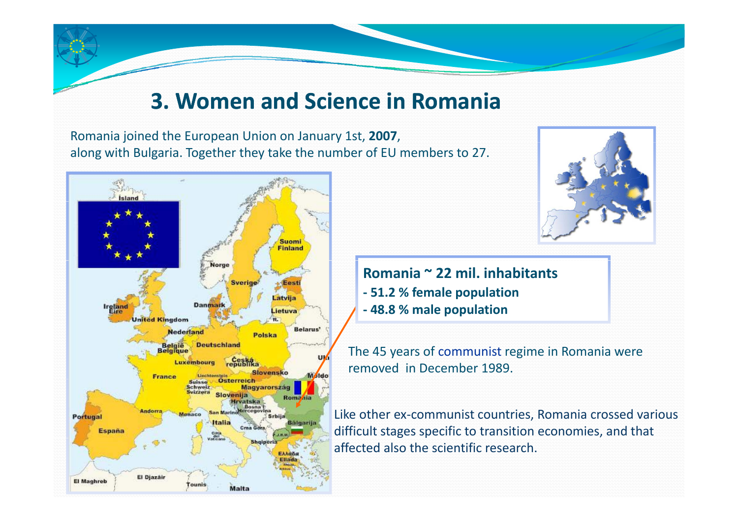# **3. Women and Science in Romania**

Romania joined the European Union on January 1st, **2007**, along with Bulgaria. Together they take the number of EU members to 27.





**Romania <sup>~</sup> 22 mil. inhabitants ‐ 51.2 % female population ‐ 48.8 % male population**

The 45 years of communist regime in Romania were removed in December 1989.

Like other ex‐communist countries, Romania crossed various difficult stages specific to transition economies, and that affected also the scientific research.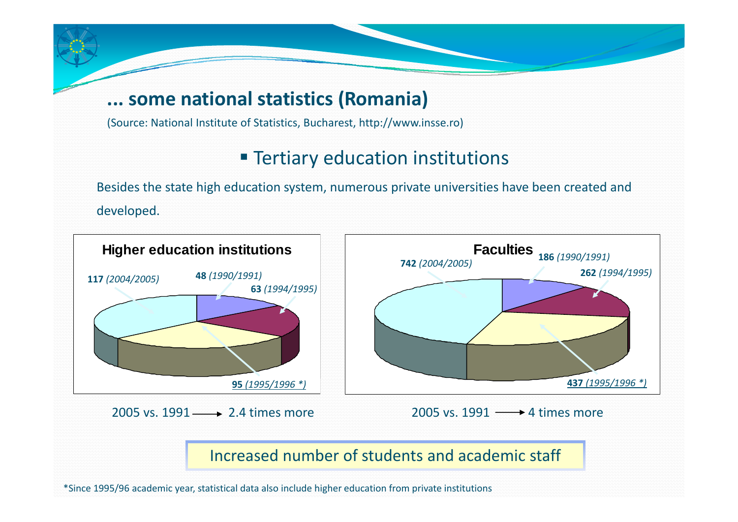#### **... some national statistics (Romania)**

(Source: National Institute of Statistics, Bucharest, http://www.insse.ro)

### **Tertiary education institutions**

Besides the state high education system, numerous private universities have been created and developed.



\*Since 1995/96 academic year, statistical data also include higher education from private institutions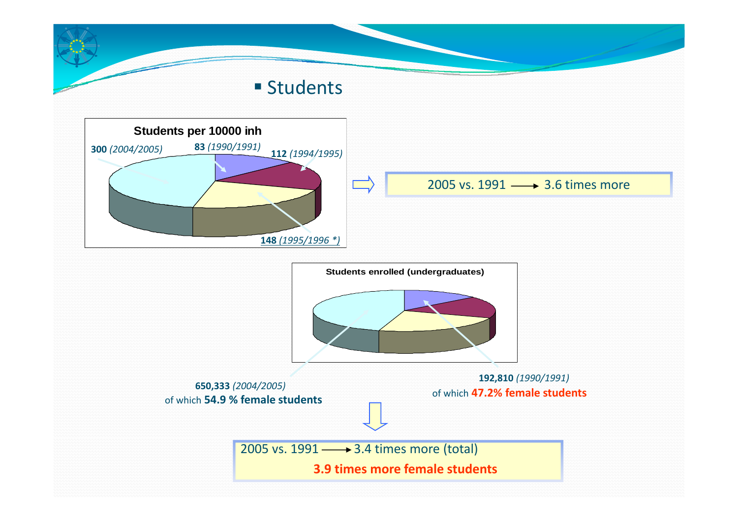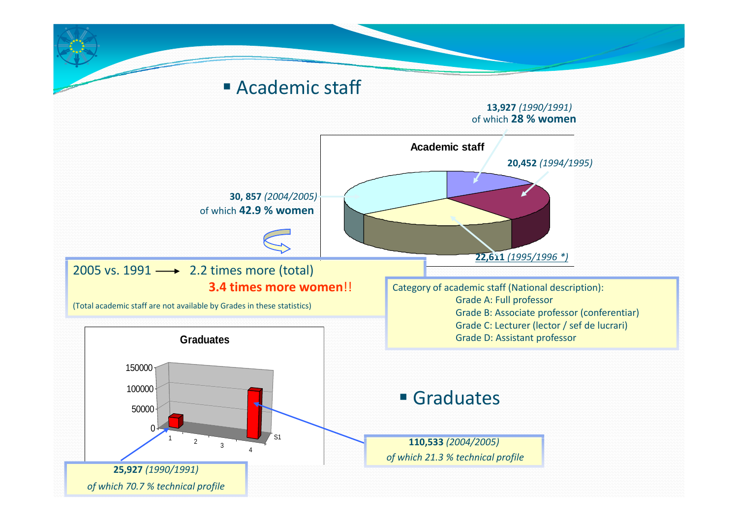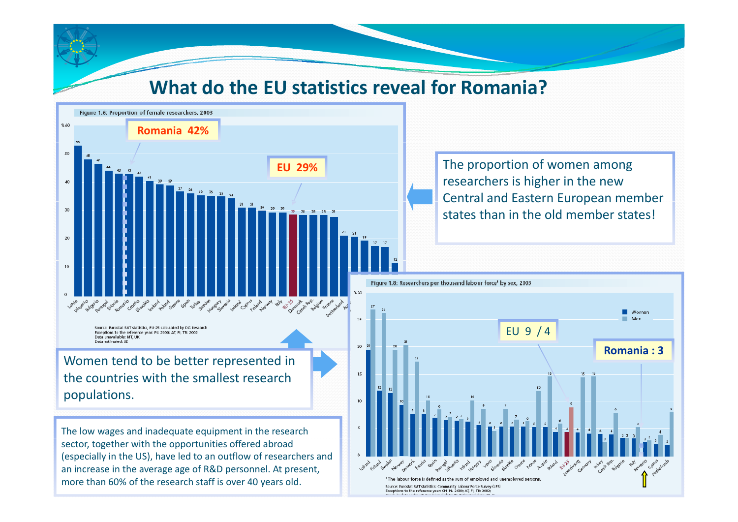#### **Wh t a do the EU st ti ti <sup>a</sup> <sup>s</sup> cs reveal for R i? oman a?**



 The proportion of women among researchers is higher in the new Central and Eastern European member states than in the old member states!

(especially in the US), have led to an outflow of researchers and an increase in the average age of R&D personnel. At present, more than 60% of the research staff is over 40 years old.

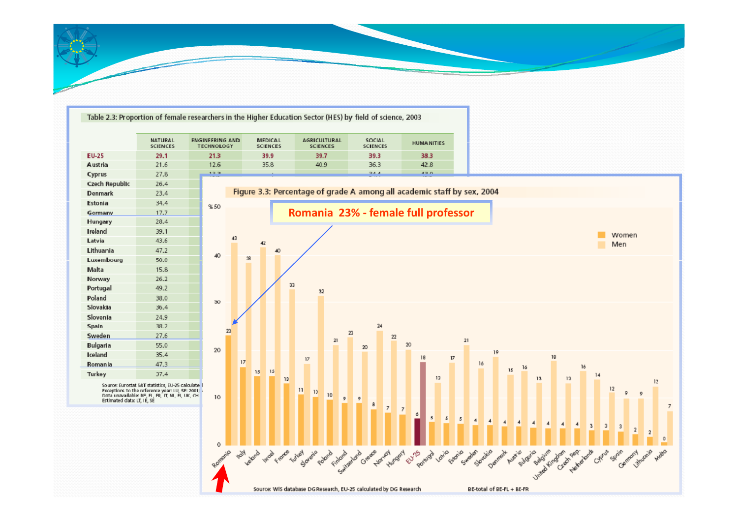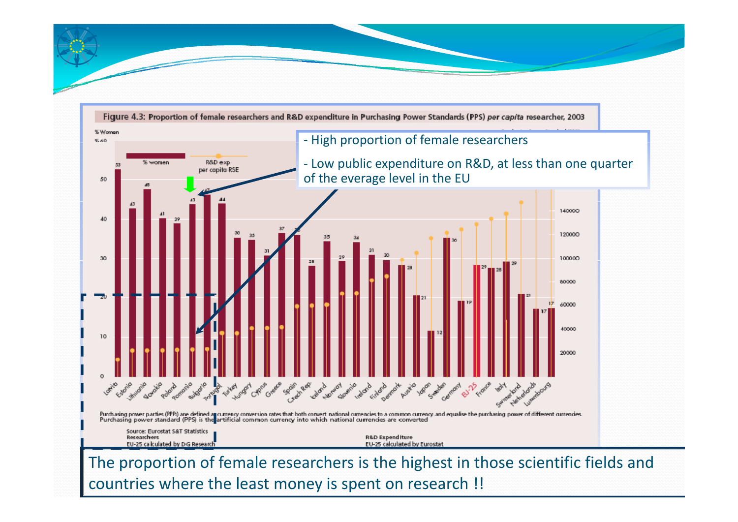